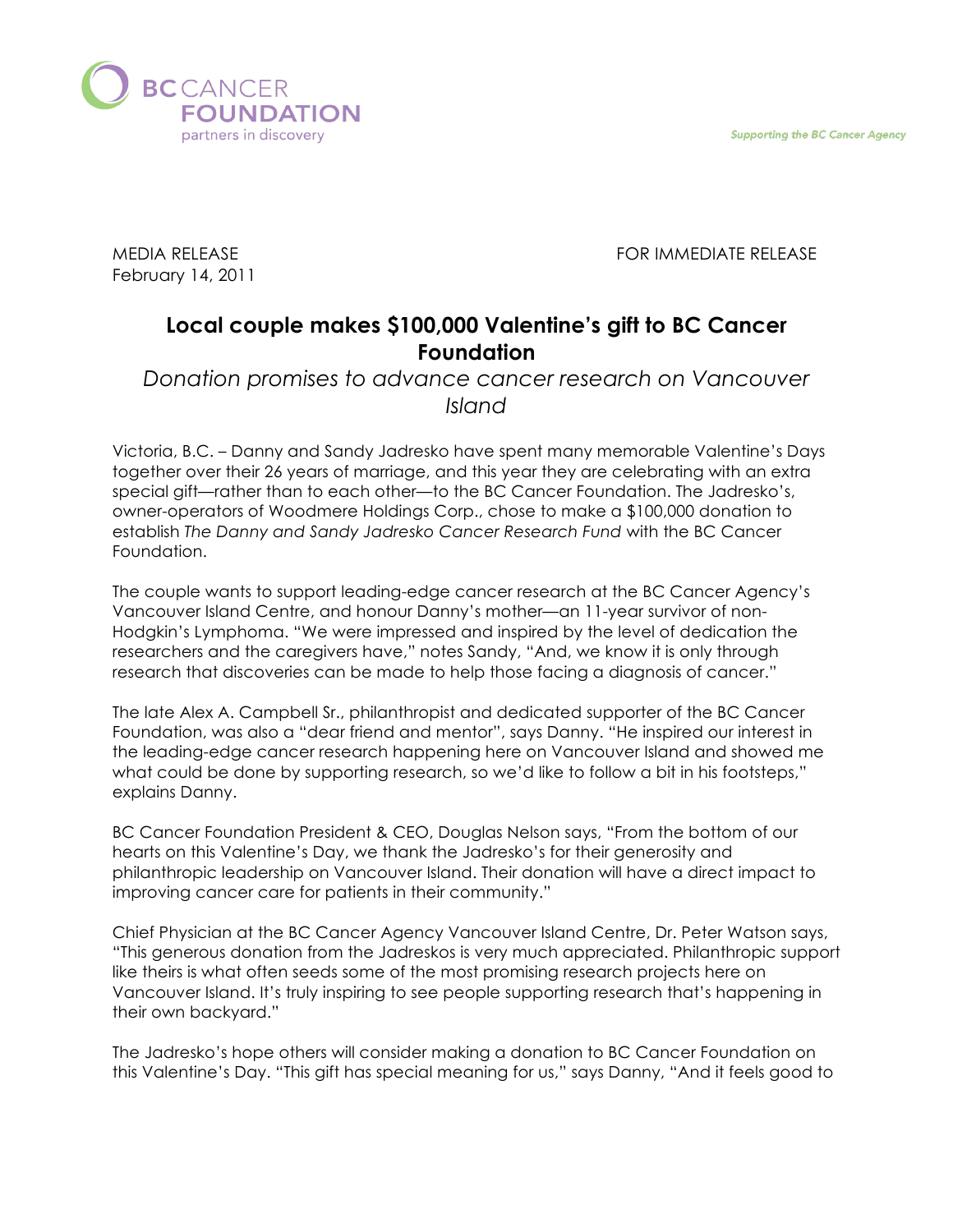**Supporting the BC Cancer Agency** 



MEDIA RELEASE FOR IMMEDIATE RELEASE

February 14, 2011

## **Local couple makes \$100,000 Valentine's gift to BC Cancer Foundation**

*Donation promises to advance cancer research on Vancouver Island*

Victoria, B.C. – Danny and Sandy Jadresko have spent many memorable Valentine's Days together over their 26 years of marriage, and this year they are celebrating with an extra special gift—rather than to each other—to the BC Cancer Foundation. The Jadresko's, owner-operators of Woodmere Holdings Corp., chose to make a \$100,000 donation to establish *The Danny and Sandy Jadresko Cancer Research Fund* with the BC Cancer Foundation.

The couple wants to support leading-edge cancer research at the BC Cancer Agency's Vancouver Island Centre, and honour Danny's mother—an 11-year survivor of non-Hodgkin's Lymphoma. "We were impressed and inspired by the level of dedication the researchers and the caregivers have," notes Sandy, "And, we know it is only through research that discoveries can be made to help those facing a diagnosis of cancer."

The late Alex A. Campbell Sr., philanthropist and dedicated supporter of the BC Cancer Foundation, was also a "dear friend and mentor", says Danny. "He inspired our interest in the leading-edge cancer research happening here on Vancouver Island and showed me what could be done by supporting research, so we'd like to follow a bit in his footsteps," explains Danny.

BC Cancer Foundation President & CEO, Douglas Nelson says, "From the bottom of our hearts on this Valentine's Day, we thank the Jadresko's for their generosity and philanthropic leadership on Vancouver Island. Their donation will have a direct impact to improving cancer care for patients in their community."

Chief Physician at the BC Cancer Agency Vancouver Island Centre, Dr. Peter Watson says, "This generous donation from the Jadreskos is very much appreciated. Philanthropic support like theirs is what often seeds some of the most promising research projects here on Vancouver Island. It's truly inspiring to see people supporting research that's happening in their own backyard."

The Jadresko's hope others will consider making a donation to BC Cancer Foundation on this Valentine's Day. "This gift has special meaning for us," says Danny, "And it feels good to